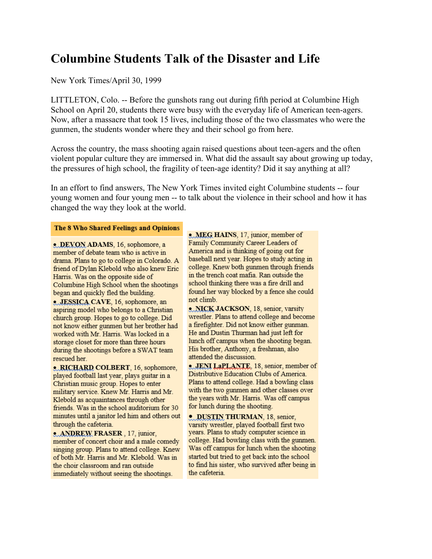## **Columbine Students Talk of the Disaster and Life**

## New York Times/April 30, 1999

LITTLETON, Colo. -- Before the gunshots rang out during fifth period at Columbine High School on April 20, students there were busy with the everyday life of American teen-agers. Now, after a massacre that took 15 lives, including those of the two classmates who were the gunmen, the students wonder where they and their school go from here.

Across the country, the mass shooting again raised questions about teen-agers and the often violent popular culture they are immersed in. What did the assault say about growing up today, the pressures of high school, the fragility of teen-age identity? Did it say anything at all?

In an effort to find answers, The New York Times invited eight Columbine students -- four young women and four young men -- to talk about the violence in their school and how it has changed the way they look at the world.

## The 8 Who Shared Feelings and Opinions

e DEVON ADAMS, 16, sophomore, a member of debate team who is active in drama. Plans to go to college in Colorado. A friend of Dylan Klebold who also knew Eric Harris. Was on the opposite side of Columbine High School when the shootings began and quickly fled the building.

e.JESSICA CAVE, 16, sophomore, an aspiring model who belongs to a Christian church group. Hopes to go to college. Did not know either gunmen but her brother had worked with Mr. Harris. Was locked in a storage closet for more than three hours during the shootings before a SWAT team rescued her.

**. RICHARD COLBERT**, 16, sophomore, played football last year, plays guitar in a Christian music group. Hopes to enter military service. Knew Mr. Harris and Mr. Klebold as acquaintances through other friends. Was in the school auditorium for 30 minutes until a janitor led him and others out through the cafeteria.

e. ANDREW FRASER, 17, junior, member of concert choir and a male comedy singing group. Plans to attend college. Knew of both Mr. Harris and Mr. Klebold. Was in the choir classroom and ran outside immediately without seeing the shootings.

• MEG HAINS, 17, junior, member of Family Community Career Leaders of America and is thinking of going out for baseball next year. Hopes to study acting in college. Knew both gunmen through friends in the trench coat mafia. Ran outside the school thinking there was a fire drill and found her way blocked by a fence she could not climb.

**. NICK JACKSON**, 18, senior, varsity wrestler. Plans to attend college and become a firefighter. Did not know either gunman. He and Dustin Thurman had just left for lunch off campus when the shooting began. His brother, Anthony, a freshman, also attended the discussion.

**. JENI LaPLANTE**, 18, senior, member of Distributive Education Clubs of America. Plans to attend college. Had a bowling class with the two gunmen and other classes over the years with Mr. Harris. Was off campus for lunch during the shooting.

**. DUSTIN THURMAN, 18, senior,** varsity wrestler, played football first two years. Plans to study computer science in college. Had bowling class with the gunmen. Was off campus for lunch when the shooting started but tried to get back into the school to find his sister, who survived after being in the cafeteria.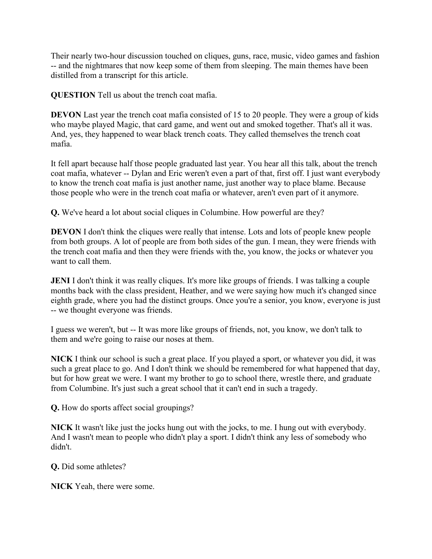Their nearly two-hour discussion touched on cliques, guns, race, music, video games and fashion -- and the nightmares that now keep some of them from sleeping. The main themes have been distilled from a transcript for this article.

**QUESTION** Tell us about the trench coat mafia.

**DEVON** Last year the trench coat mafia consisted of 15 to 20 people. They were a group of kids who maybe played Magic, that card game, and went out and smoked together. That's all it was. And, yes, they happened to wear black trench coats. They called themselves the trench coat mafia.

It fell apart because half those people graduated last year. You hear all this talk, about the trench coat mafia, whatever -- Dylan and Eric weren't even a part of that, first off. I just want everybody to know the trench coat mafia is just another name, just another way to place blame. Because those people who were in the trench coat mafia or whatever, aren't even part of it anymore.

**Q.** We've heard a lot about social cliques in Columbine. How powerful are they?

**DEVON** I don't think the cliques were really that intense. Lots and lots of people knew people from both groups. A lot of people are from both sides of the gun. I mean, they were friends with the trench coat mafia and then they were friends with the, you know, the jocks or whatever you want to call them.

**JENI** I don't think it was really cliques. It's more like groups of friends. I was talking a couple months back with the class president, Heather, and we were saying how much it's changed since eighth grade, where you had the distinct groups. Once you're a senior, you know, everyone is just -- we thought everyone was friends.

I guess we weren't, but -- It was more like groups of friends, not, you know, we don't talk to them and we're going to raise our noses at them.

**NICK** I think our school is such a great place. If you played a sport, or whatever you did, it was such a great place to go. And I don't think we should be remembered for what happened that day, but for how great we were. I want my brother to go to school there, wrestle there, and graduate from Columbine. It's just such a great school that it can't end in such a tragedy.

**Q.** How do sports affect social groupings?

**NICK** It wasn't like just the jocks hung out with the jocks, to me. I hung out with everybody. And I wasn't mean to people who didn't play a sport. I didn't think any less of somebody who didn't.

**Q.** Did some athletes?

**NICK** Yeah, there were some.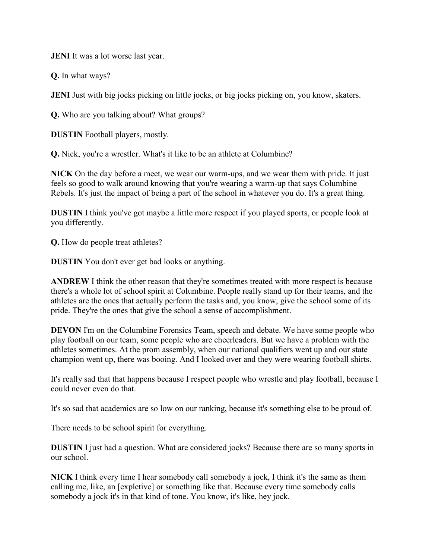**JENI** It was a lot worse last year.

**Q.** In what ways?

**JENI** Just with big jocks picking on little jocks, or big jocks picking on, you know, skaters.

**Q.** Who are you talking about? What groups?

**DUSTIN** Football players, mostly.

**Q.** Nick, you're a wrestler. What's it like to be an athlete at Columbine?

**NICK** On the day before a meet, we wear our warm-ups, and we wear them with pride. It just feels so good to walk around knowing that you're wearing a warm-up that says Columbine Rebels. It's just the impact of being a part of the school in whatever you do. It's a great thing.

**DUSTIN** I think you've got maybe a little more respect if you played sports, or people look at you differently.

**Q.** How do people treat athletes?

**DUSTIN** You don't ever get bad looks or anything.

**ANDREW** I think the other reason that they're sometimes treated with more respect is because there's a whole lot of school spirit at Columbine. People really stand up for their teams, and the athletes are the ones that actually perform the tasks and, you know, give the school some of its pride. They're the ones that give the school a sense of accomplishment.

**DEVON** I'm on the Columbine Forensics Team, speech and debate. We have some people who play football on our team, some people who are cheerleaders. But we have a problem with the athletes sometimes. At the prom assembly, when our national qualifiers went up and our state champion went up, there was booing. And I looked over and they were wearing football shirts.

It's really sad that that happens because I respect people who wrestle and play football, because I could never even do that.

It's so sad that academics are so low on our ranking, because it's something else to be proud of.

There needs to be school spirit for everything.

**DUSTIN** I just had a question. What are considered jocks? Because there are so many sports in our school.

**NICK** I think every time I hear somebody call somebody a jock, I think it's the same as them calling me, like, an [expletive] or something like that. Because every time somebody calls somebody a jock it's in that kind of tone. You know, it's like, hey jock.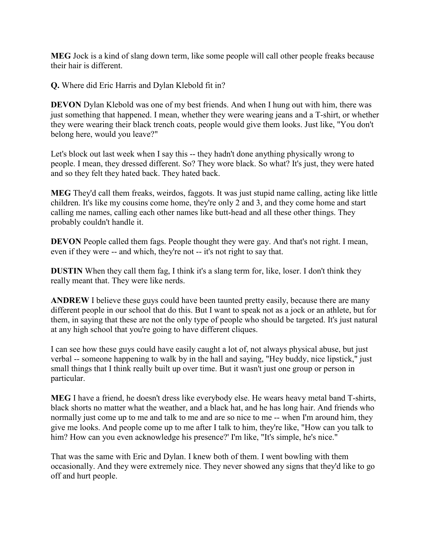**MEG** Jock is a kind of slang down term, like some people will call other people freaks because their hair is different.

**Q.** Where did Eric Harris and Dylan Klebold fit in?

**DEVON** Dylan Klebold was one of my best friends. And when I hung out with him, there was just something that happened. I mean, whether they were wearing jeans and a T-shirt, or whether they were wearing their black trench coats, people would give them looks. Just like, "You don't belong here, would you leave?"

Let's block out last week when I say this -- they hadn't done anything physically wrong to people. I mean, they dressed different. So? They wore black. So what? It's just, they were hated and so they felt they hated back. They hated back.

**MEG** They'd call them freaks, weirdos, faggots. It was just stupid name calling, acting like little children. It's like my cousins come home, they're only 2 and 3, and they come home and start calling me names, calling each other names like butt-head and all these other things. They probably couldn't handle it.

**DEVON** People called them fags. People thought they were gay. And that's not right. I mean, even if they were -- and which, they're not -- it's not right to say that.

**DUSTIN** When they call them fag, I think it's a slang term for, like, loser. I don't think they really meant that. They were like nerds.

**ANDREW** I believe these guys could have been taunted pretty easily, because there are many different people in our school that do this. But I want to speak not as a jock or an athlete, but for them, in saying that these are not the only type of people who should be targeted. It's just natural at any high school that you're going to have different cliques.

I can see how these guys could have easily caught a lot of, not always physical abuse, but just verbal -- someone happening to walk by in the hall and saying, "Hey buddy, nice lipstick," just small things that I think really built up over time. But it wasn't just one group or person in particular.

**MEG** I have a friend, he doesn't dress like everybody else. He wears heavy metal band T-shirts, black shorts no matter what the weather, and a black hat, and he has long hair. And friends who normally just come up to me and talk to me and are so nice to me -- when I'm around him, they give me looks. And people come up to me after I talk to him, they're like, "How can you talk to him? How can you even acknowledge his presence?' I'm like, "It's simple, he's nice."

That was the same with Eric and Dylan. I knew both of them. I went bowling with them occasionally. And they were extremely nice. They never showed any signs that they'd like to go off and hurt people.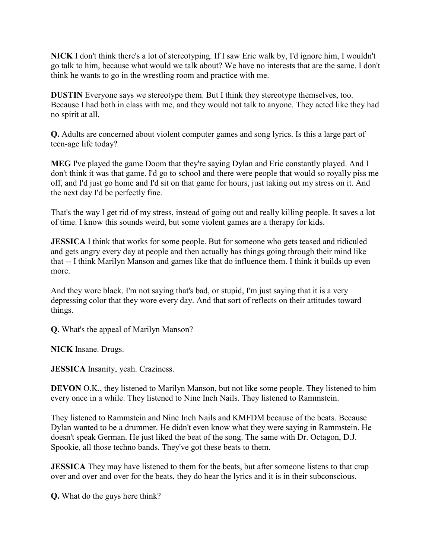**NICK** I don't think there's a lot of stereotyping. If I saw Eric walk by, I'd ignore him, I wouldn't go talk to him, because what would we talk about? We have no interests that are the same. I don't think he wants to go in the wrestling room and practice with me.

**DUSTIN** Everyone says we stereotype them. But I think they stereotype themselves, too. Because I had both in class with me, and they would not talk to anyone. They acted like they had no spirit at all.

**Q.** Adults are concerned about violent computer games and song lyrics. Is this a large part of teen-age life today?

**MEG** I've played the game Doom that they're saying Dylan and Eric constantly played. And I don't think it was that game. I'd go to school and there were people that would so royally piss me off, and I'd just go home and I'd sit on that game for hours, just taking out my stress on it. And the next day I'd be perfectly fine.

That's the way I get rid of my stress, instead of going out and really killing people. It saves a lot of time. I know this sounds weird, but some violent games are a therapy for kids.

**JESSICA** I think that works for some people. But for someone who gets teased and ridiculed and gets angry every day at people and then actually has things going through their mind like that -- I think Marilyn Manson and games like that do influence them. I think it builds up even more.

And they wore black. I'm not saying that's bad, or stupid, I'm just saying that it is a very depressing color that they wore every day. And that sort of reflects on their attitudes toward things.

**Q.** What's the appeal of Marilyn Manson?

**NICK** Insane. Drugs.

**JESSICA** Insanity, yeah. Craziness.

**DEVON** O.K., they listened to Marilyn Manson, but not like some people. They listened to him every once in a while. They listened to Nine Inch Nails. They listened to Rammstein.

They listened to Rammstein and Nine Inch Nails and KMFDM because of the beats. Because Dylan wanted to be a drummer. He didn't even know what they were saying in Rammstein. He doesn't speak German. He just liked the beat of the song. The same with Dr. Octagon, D.J. Spookie, all those techno bands. They've got these beats to them.

**JESSICA** They may have listened to them for the beats, but after someone listens to that crap over and over and over for the beats, they do hear the lyrics and it is in their subconscious.

**Q.** What do the guys here think?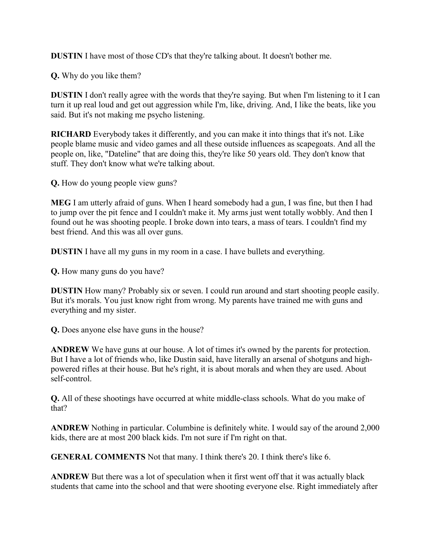**DUSTIN** I have most of those CD's that they're talking about. It doesn't bother me.

**Q.** Why do you like them?

**DUSTIN** I don't really agree with the words that they're saying. But when I'm listening to it I can turn it up real loud and get out aggression while I'm, like, driving. And, I like the beats, like you said. But it's not making me psycho listening.

**RICHARD** Everybody takes it differently, and you can make it into things that it's not. Like people blame music and video games and all these outside influences as scapegoats. And all the people on, like, "Dateline" that are doing this, they're like 50 years old. They don't know that stuff. They don't know what we're talking about.

**Q.** How do young people view guns?

**MEG** I am utterly afraid of guns. When I heard somebody had a gun, I was fine, but then I had to jump over the pit fence and I couldn't make it. My arms just went totally wobbly. And then I found out he was shooting people. I broke down into tears, a mass of tears. I couldn't find my best friend. And this was all over guns.

**DUSTIN** I have all my guns in my room in a case. I have bullets and everything.

**Q.** How many guns do you have?

**DUSTIN** How many? Probably six or seven. I could run around and start shooting people easily. But it's morals. You just know right from wrong. My parents have trained me with guns and everything and my sister.

**Q.** Does anyone else have guns in the house?

**ANDREW** We have guns at our house. A lot of times it's owned by the parents for protection. But I have a lot of friends who, like Dustin said, have literally an arsenal of shotguns and highpowered rifles at their house. But he's right, it is about morals and when they are used. About self-control.

**Q.** All of these shootings have occurred at white middle-class schools. What do you make of that?

**ANDREW** Nothing in particular. Columbine is definitely white. I would say of the around 2,000 kids, there are at most 200 black kids. I'm not sure if I'm right on that.

**GENERAL COMMENTS** Not that many. I think there's 20. I think there's like 6.

**ANDREW** But there was a lot of speculation when it first went off that it was actually black students that came into the school and that were shooting everyone else. Right immediately after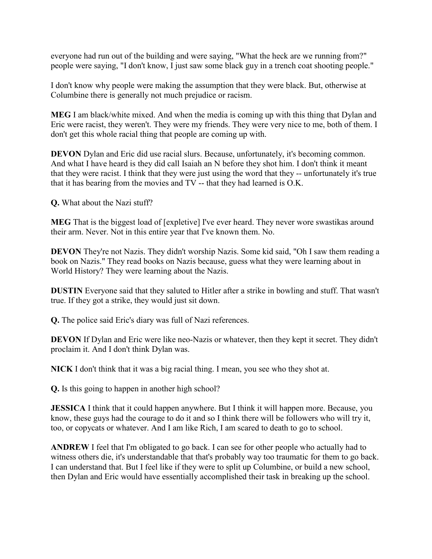everyone had run out of the building and were saying, "What the heck are we running from?" people were saying, "I don't know, I just saw some black guy in a trench coat shooting people."

I don't know why people were making the assumption that they were black. But, otherwise at Columbine there is generally not much prejudice or racism.

**MEG** I am black/white mixed. And when the media is coming up with this thing that Dylan and Eric were racist, they weren't. They were my friends. They were very nice to me, both of them. I don't get this whole racial thing that people are coming up with.

**DEVON** Dylan and Eric did use racial slurs. Because, unfortunately, it's becoming common. And what I have heard is they did call Isaiah an N before they shot him. I don't think it meant that they were racist. I think that they were just using the word that they -- unfortunately it's true that it has bearing from the movies and TV -- that they had learned is O.K.

**Q.** What about the Nazi stuff?

**MEG** That is the biggest load of [expletive] I've ever heard. They never wore swastikas around their arm. Never. Not in this entire year that I've known them. No.

**DEVON** They're not Nazis. They didn't worship Nazis. Some kid said, "Oh I saw them reading a book on Nazis." They read books on Nazis because, guess what they were learning about in World History? They were learning about the Nazis.

**DUSTIN** Everyone said that they saluted to Hitler after a strike in bowling and stuff. That wasn't true. If they got a strike, they would just sit down.

**Q.** The police said Eric's diary was full of Nazi references.

**DEVON** If Dylan and Eric were like neo-Nazis or whatever, then they kept it secret. They didn't proclaim it. And I don't think Dylan was.

**NICK** I don't think that it was a big racial thing. I mean, you see who they shot at.

**Q.** Is this going to happen in another high school?

**JESSICA** I think that it could happen anywhere. But I think it will happen more. Because, you know, these guys had the courage to do it and so I think there will be followers who will try it, too, or copycats or whatever. And I am like Rich, I am scared to death to go to school.

**ANDREW** I feel that I'm obligated to go back. I can see for other people who actually had to witness others die, it's understandable that that's probably way too traumatic for them to go back. I can understand that. But I feel like if they were to split up Columbine, or build a new school, then Dylan and Eric would have essentially accomplished their task in breaking up the school.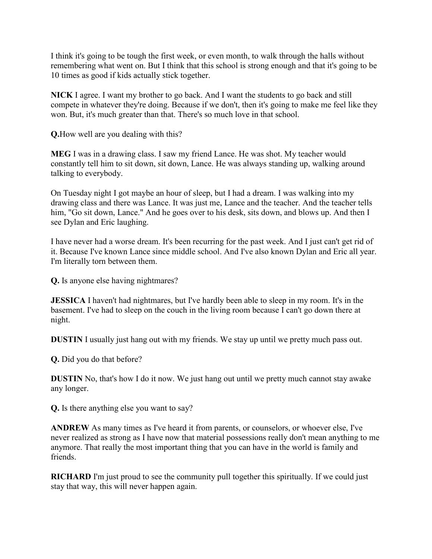I think it's going to be tough the first week, or even month, to walk through the halls without remembering what went on. But I think that this school is strong enough and that it's going to be 10 times as good if kids actually stick together.

**NICK** I agree. I want my brother to go back. And I want the students to go back and still compete in whatever they're doing. Because if we don't, then it's going to make me feel like they won. But, it's much greater than that. There's so much love in that school.

**Q.**How well are you dealing with this?

**MEG** I was in a drawing class. I saw my friend Lance. He was shot. My teacher would constantly tell him to sit down, sit down, Lance. He was always standing up, walking around talking to everybody.

On Tuesday night I got maybe an hour of sleep, but I had a dream. I was walking into my drawing class and there was Lance. It was just me, Lance and the teacher. And the teacher tells him, "Go sit down, Lance." And he goes over to his desk, sits down, and blows up. And then I see Dylan and Eric laughing.

I have never had a worse dream. It's been recurring for the past week. And I just can't get rid of it. Because I've known Lance since middle school. And I've also known Dylan and Eric all year. I'm literally torn between them.

**Q.** Is anyone else having nightmares?

**JESSICA** I haven't had nightmares, but I've hardly been able to sleep in my room. It's in the basement. I've had to sleep on the couch in the living room because I can't go down there at night.

**DUSTIN** I usually just hang out with my friends. We stay up until we pretty much pass out.

**Q.** Did you do that before?

**DUSTIN** No, that's how I do it now. We just hang out until we pretty much cannot stay awake any longer.

**Q.** Is there anything else you want to say?

**ANDREW** As many times as I've heard it from parents, or counselors, or whoever else, I've never realized as strong as I have now that material possessions really don't mean anything to me anymore. That really the most important thing that you can have in the world is family and friends.

**RICHARD** I'm just proud to see the community pull together this spiritually. If we could just stay that way, this will never happen again.